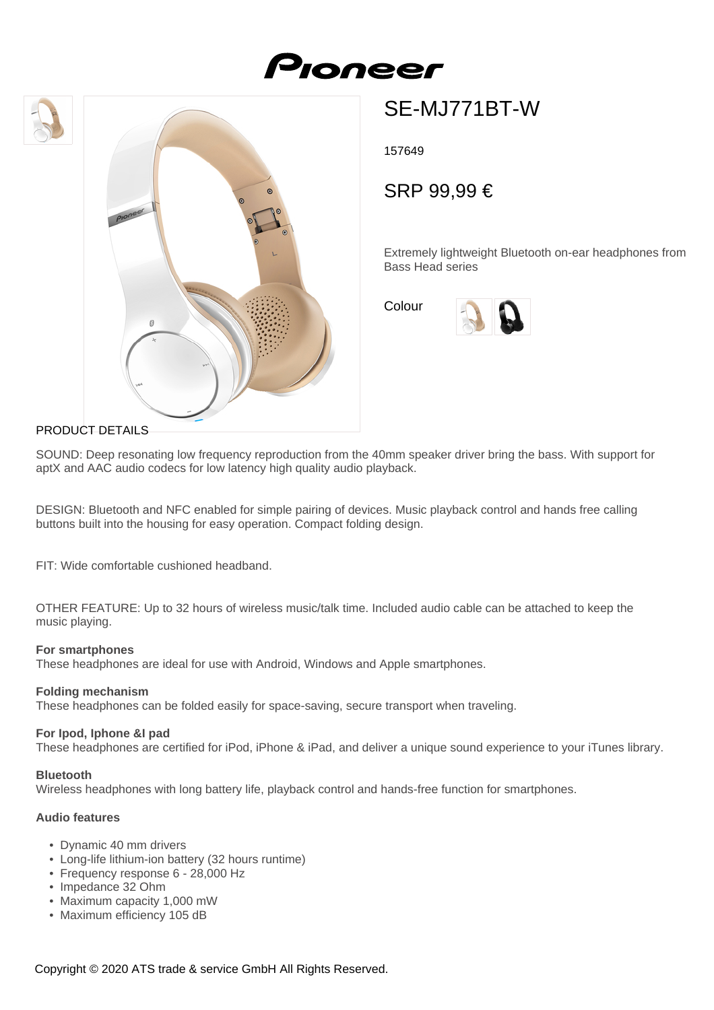# Proneer





## SE-MJ771BT-W

157649

### SRP 99,99 €

Extremely lightweight Bluetooth on-ear headphones from Bass Head series

Colour



#### PRODUCT DETAILS

SOUND: Deep resonating low frequency reproduction from the 40mm speaker driver bring the bass. With support for aptX and AAC audio codecs for low latency high quality audio playback.

DESIGN: Bluetooth and NFC enabled for simple pairing of devices. Music playback control and hands free calling buttons built into the housing for easy operation. Compact folding design.

FIT: Wide comfortable cushioned headband.

OTHER FEATURE: Up to 32 hours of wireless music/talk time. Included audio cable can be attached to keep the music playing.

#### **For smartphones**

These headphones are ideal for use with Android, Windows and Apple smartphones.

#### **Folding mechanism**

These headphones can be folded easily for space-saving, secure transport when traveling.

#### **For Ipod, Iphone &I pad**

These headphones are certified for iPod, iPhone & iPad, and deliver a unique sound experience to your iTunes library.

#### **Bluetooth**

Wireless headphones with long battery life, playback control and hands-free function for smartphones.

#### **Audio features**

- Dynamic 40 mm drivers
- Long-life lithium-ion battery (32 hours runtime)
- Frequency response 6 28,000 Hz
- Impedance 32 Ohm
- Maximum capacity 1,000 mW
- Maximum efficiency 105 dB

Copyright © 2020 ATS trade & service GmbH All Rights Reserved.